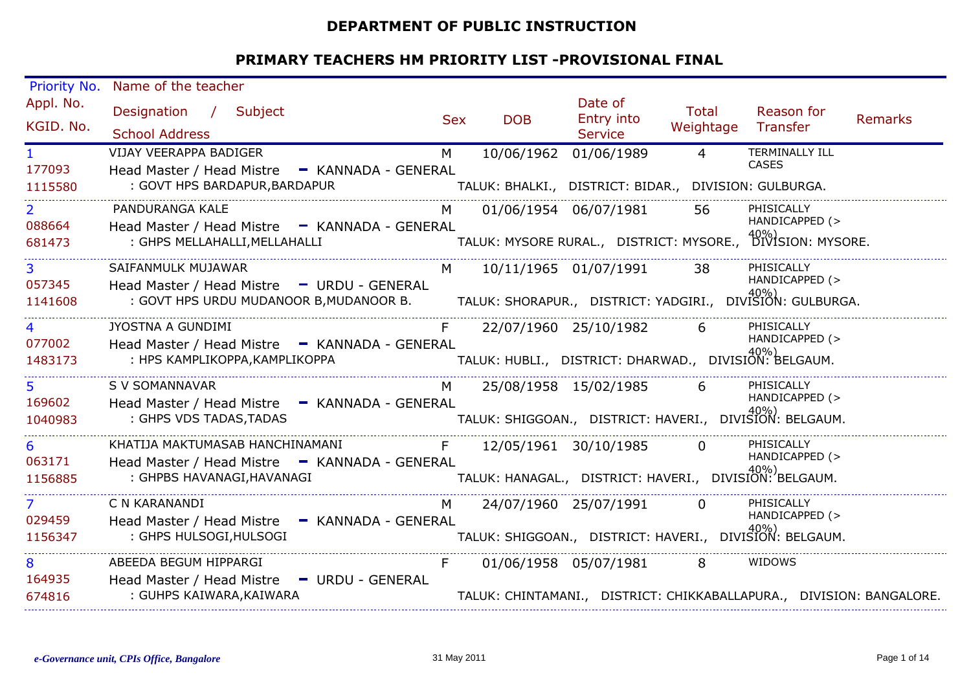#### **DEPARTMENT OF PUBLIC INSTRUCTION**

| Priority No.                        | Name of the teacher                                                                                                                                                   |            |                                                                                      |                                         |                           |                                                                                                  |                |
|-------------------------------------|-----------------------------------------------------------------------------------------------------------------------------------------------------------------------|------------|--------------------------------------------------------------------------------------|-----------------------------------------|---------------------------|--------------------------------------------------------------------------------------------------|----------------|
| Appl. No.<br>KGID. No.              | Designation / Subject<br><b>School Address</b>                                                                                                                        | <b>Sex</b> | <b>DOB</b>                                                                           | Date of<br>Entry into<br><b>Service</b> | <b>Total</b><br>Weightage | Reason for<br>Transfer                                                                           | <b>Remarks</b> |
| $\mathbf{1}$<br>177093<br>1115580   | <b>VIJAY VEERAPPA BADIGER</b><br>Head Master / Head Mistre - KANNADA - GENERAL<br>: GOVT HPS BARDAPUR, BARDAPUR                                                       | M          | 10/06/1962<br>TALUK: BHALKI., DISTRICT: BIDAR., DIVISION: GULBURGA.                  | 01/06/1989                              | $\overline{4}$            | <b>TERMINALLY ILL</b><br><b>CASES</b>                                                            |                |
| $\overline{2}$<br>088664<br>681473  | PANDURANGA KALE<br>Head Master / Head Mistre - KANNADA - GENERAL<br>: GHPS MELLAHALLI, MELLAHALLI                                                                     | M          |                                                                                      | 01/06/1954 06/07/1981                   | 56                        | PHISICALLY<br>HANDICAPPED (><br>TALUK: MYSORE RURAL., DISTRICT: MYSORE., DIVISION: MYSORE.       |                |
| 057345<br>1141608                   | SAIFANMULK MUJAWAR<br>Head Master / Head Mistre - URDU - GENERAL<br>: GOVT HPS URDU MUDANOOR B, MUDANOOR B. TALUK: SHORAPUR., DISTRICT: YADGIRI., DIVISION: GULBURGA. | M          | 10/11/1965 01/07/1991                                                                |                                         | -38                       | PHISICALLY<br>HANDICAPPED (>                                                                     |                |
| 4<br>077002<br>1483173              | JYOSTNA A GUNDIMI<br>Head Master / Head Mistre - KANNADA - GENERAL<br>: HPS KAMPLIKOPPA,KAMPLIKOPPA                                                                   |            | 22/07/1960 25/10/1982<br>_<br>「TALUK: HUBLI., DISTRICT: DHARWAD., DIVISION: BELGAUM. |                                         | 6                         | PHISICALLY<br>HANDICAPPED (>                                                                     |                |
| 5 <sup>1</sup><br>169602<br>1040983 | S V SOMANNAVAR<br>Head Master / Head Mistre - KANNADA - GENERAL<br>TALUK: SHIGGOAN.,   DISTRICT: HAVERI.,   DIVISION: BELGAUM.<br>: GHPS VDS TADAS, TADAS             | M          |                                                                                      | 25/08/1958 15/02/1985                   | 6                         | PHISICALLY<br>HANDICAPPED (>                                                                     |                |
| 6<br>063171<br>1156885              | KHATIJA MAKTUMASAB HANCHINAMANI<br>Head Master / Head Mistre - KANNADA - GENERAL<br>: GHPBS HAVANAGI, HAVANAGI                                                        | F          | .<br>TALUK: HANAGAL.,    DISTRICT:  HAVERI.,    DIVISION:  BELGAUM.                  | 12/05/1961 30/10/1985                   | $\overline{0}$            | PHISICALLY<br>HANDICAPPED (>                                                                     |                |
| $\overline{7}$<br>029459<br>1156347 | C N KARANANDI<br>Head Master / Head Mistre - KANNADA - GENERAL<br>: GHPS HULSOGI, HULSOGI                                                                             | M          | 24/07/1960 25/07/1991                                                                |                                         | $\Omega$                  | PHISICALLY<br>HANDICAPPED (><br>-<br>TALUK: SHIGGOAN.,   DISTRICT: HAVERI.,   DIVISION: BELGAUM. |                |
| 8<br>164935<br>674816               | ABEEDA BEGUM HIPPARGI<br>Head Master / Head Mistre - URDU - GENERAL<br>: GUHPS KAIWARA, KAIWARA                                                                       |            | 01/06/1958 05/07/1981                                                                |                                         | 8                         | WIDOWS<br>TALUK: CHINTAMANI., DISTRICT: CHIKKABALLAPURA., DIVISION: BANGALORE.                   |                |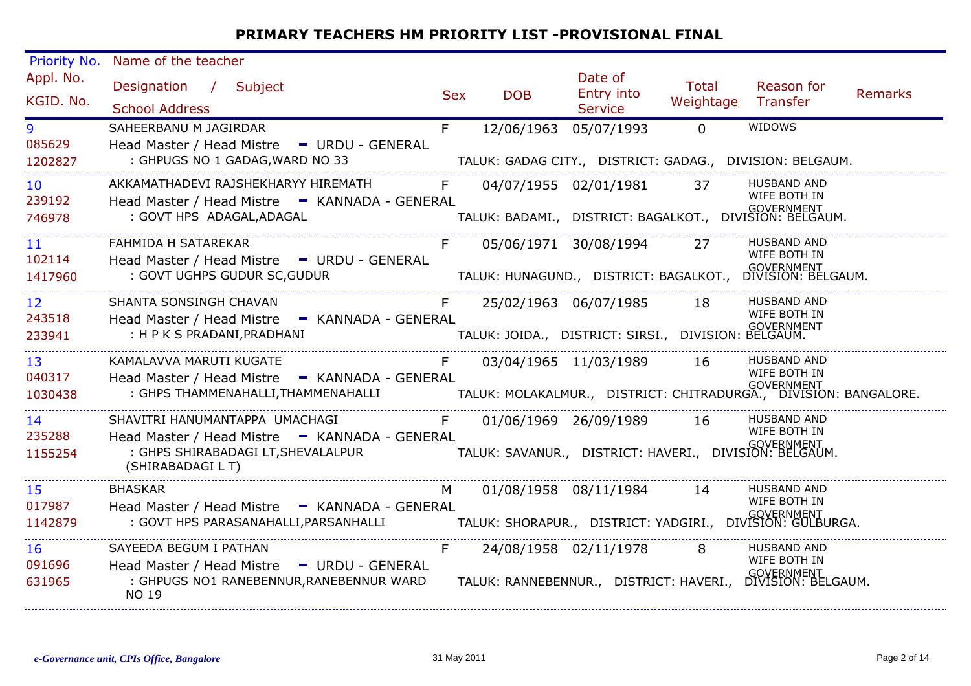| Priority No.              | Name of the teacher                                                                                                                                                                                                                                |     |            |                                                                 |                           |                                                                                                 |                |
|---------------------------|----------------------------------------------------------------------------------------------------------------------------------------------------------------------------------------------------------------------------------------------------|-----|------------|-----------------------------------------------------------------|---------------------------|-------------------------------------------------------------------------------------------------|----------------|
| Appl. No.<br>KGID. No.    | Designation / Subject<br><b>School Address</b>                                                                                                                                                                                                     | Sex | <b>DOB</b> | Date of<br>Entry into<br><b>Service</b>                         | <b>Total</b><br>Weightage | Reason for<br>Transfer                                                                          | <b>Remarks</b> |
| 9<br>085629               | SAHEERBANU M JAGIRDAR<br>Head Master / Head Mistre - URDU - GENERAL                                                                                                                                                                                | F   | 12/06/1963 | 05/07/1993                                                      | $\Omega$                  | WIDOWS                                                                                          |                |
| 1202827                   | : GHPUGS NO 1 GADAG, WARD NO 33                                                                                                                                                                                                                    |     |            |                                                                 |                           | TALUK: GADAG CITY., DISTRICT: GADAG., DIVISION: BELGAUM.                                        |                |
| 10 <sup>°</sup><br>239192 | AKKAMATHADEVI RAJSHEKHARYY HIREMATH                                                                                                                                                                                                                | F   |            | 04/07/1955 02/01/1981 37                                        |                           | <b>HUSBAND AND</b><br>WIFE BOTH IN                                                              |                |
| 746978                    | Head Master / Head Mistre - KANNADA - GENERAL<br>: GOVT HPS ADAGAL, ADAGAL                                                                                                                                                                         |     |            |                                                                 |                           | -<br>  TALUK: BADAMI.,   DISTRICT: BAGALKOT.,   DIVISION: BELGAUM.                              |                |
| 11 <sup>1</sup><br>102114 | FAHMIDA H SATAREKAR<br>Head Master / Head Mistre - URDU - GENERAL                                                                                                                                                                                  |     |            | 05/06/1971 30/08/1994 27                                        |                           | <b>HUSBAND AND</b><br>WIFE BOTH IN                                                              |                |
| 1417960                   | : GOVT UGHPS GUDUR SC, GUDUR                                                                                                                                                                                                                       |     |            |                                                                 |                           |                                                                                                 |                |
| 12 <sup>2</sup>           | SHANTA SONSINGH CHAVAN                                                                                                                                                                                                                             | F   |            | 25/02/1963 06/07/1985 18                                        |                           | <b>HUSBAND AND</b><br>WIFE BOTH IN                                                              |                |
| 243518<br>233941          | Head Master / Head Mistre - KANNADA - GENERAL<br>: H P K S PRADANI, PRADHANI                                                                                                                                                                       |     |            | -RAL<br>TALUK: JOIDA.,   DISTRICT: SIRSI.,   DIVISION: BELGAUM. |                           |                                                                                                 |                |
| 13 <sup>7</sup>           | KAMALAVVA MARUTI KUGATE                                                                                                                                                                                                                            | F   |            | 03/04/1965 11/03/1989 16                                        |                           | <b>HUSBAND AND</b><br>WIFE BOTH IN                                                              |                |
| 040317<br>1030438         | Head Master / Head Mistre - KANNADA - GENERAL<br>المستخدم بين المستخدم بين المستخدم المستخدم المستخدم المستخدم بين المستخدم بين المستخدم بين المستخدم بين المست<br>GOVERNMENT TALUK: MOLAKALMUR.,  DISTRICT: CHITRADURGA.,  DIVISION: BANGALORE. . |     |            |                                                                 |                           |                                                                                                 |                |
| 14                        | SHAVITRI HANUMANTAPPA UMACHAGI F                                                                                                                                                                                                                   |     |            | 01/06/1969 26/09/1989 16                                        |                           | <b>HUSBAND AND</b><br>WIFE BOTH IN                                                              |                |
| 235288<br>1155254         | Head Master / Head Mistre - KANNADA - GENERAL<br>(SHIRABADAGI L T)                                                                                                                                                                                 |     |            |                                                                 |                           |                                                                                                 |                |
| 15                        | <b>BHASKAR</b>                                                                                                                                                                                                                                     | M   |            | 01/08/1958 08/11/1984 14                                        |                           | <b>HUSBAND AND</b><br>WIFE BOTH IN                                                              |                |
| 017987<br>1142879         | Head Master / Head Mistre - KANNADA - GENERAL                                                                                                                                                                                                      |     |            |                                                                 |                           |                                                                                                 |                |
| 16                        | SAYEEDA BEGUM I PATHAN                                                                                                                                                                                                                             | F.  |            | 24/08/1958 02/11/1978 8                                         |                           | <b>HUSBAND AND</b>                                                                              |                |
| 091696<br>631965          | Head Master / Head Mistre - URDU - GENERAL<br>: GHPUGS NO1 RANEBENNUR, RANEBENNUR WARD<br>NO 19                                                                                                                                                    |     |            |                                                                 |                           | WIFE BOTH IN<br><b>GOVERNMENT</b><br>TALUK: RANNEBENNUR., DISTRICT: HAVERI., DIVISION: BELGAUM. |                |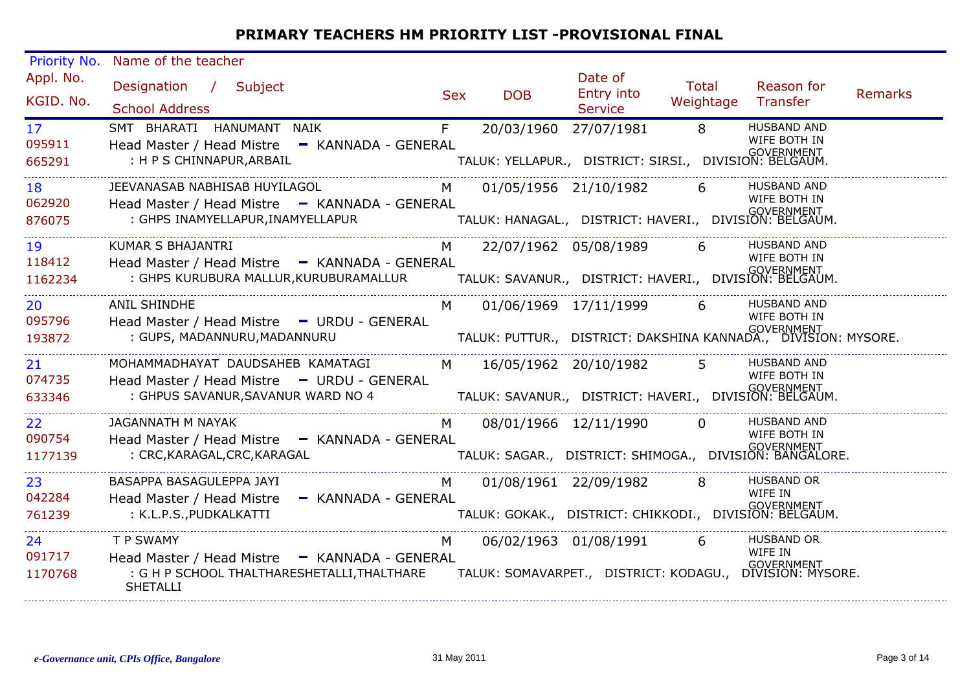| Priority No.                         | Name of the teacher                                                                                                                                                                                                                   |            |                         |                                                                      |                    |                                                                                                      |                |
|--------------------------------------|---------------------------------------------------------------------------------------------------------------------------------------------------------------------------------------------------------------------------------------|------------|-------------------------|----------------------------------------------------------------------|--------------------|------------------------------------------------------------------------------------------------------|----------------|
| Appl. No.<br>KGID. No.               | Designation / Subject<br><b>School Address</b>                                                                                                                                                                                        | <b>Sex</b> | <b>DOB</b>              | Date of<br>Entry into<br><b>Service</b>                              | Total<br>Weightage | Reason for<br>Transfer                                                                               | <b>Remarks</b> |
| 17 <sup>7</sup><br>095911<br>665291  | SMT BHARATI HANUMANT NAIK<br>Head Master / Head Mistre - KANNADA - GENERAL<br>: H P S CHINNAPUR, ARBAIL                                                                                                                               | F          | 20/03/1960 27/07/1981   | GOVERNMENT<br>TALUK: YELLAPUR., DISTRICT: SIRSI., DIVISION: BELGAUM. | $\overline{8}$     | <b>HUSBAND AND</b><br>WIFE BOTH IN                                                                   |                |
| 18<br>062920<br>876075               | JEEVANASAB NABHISAB HUYILAGOL<br>Head Master / Head Mistre - KANNADA - GENERAL<br>: GHPS INAMYELLAPUR, INAMYELLAPUR<br>. TALUK: HANAGAL., DISTRICT: HAVERI., DIVISION: BELGAUM. TALUK: HANAGAL., DISTRICT: HAVERI., DIVISION: BELGAUM | M          |                         | 01/05/1956 21/10/1982                                                | 6                  | <b>HUSBAND AND</b><br>WIFE BOTH IN                                                                   |                |
| 19<br>118412<br>1162234              | <b>KUMAR S BHAJANTRI</b><br>Head Master / Head Mistre - KANNADA - GENERAL                                                                                                                                                             | M          |                         | 22/07/1962 05/08/1989 6                                              |                    | <b>HUSBAND AND</b><br>WIFE BOTH IN                                                                   |                |
| 20<br>095796<br>193872               | <b>ANIL SHINDHE</b><br>Head Master / Head Mistre - URDU - GENERAL<br>: GUPS, MADANNURU, MADANNURU                                                                                                                                     | M          |                         | 01/06/1969 17/11/1999 6                                              |                    | <b>HUSBAND AND</b><br>WIFE BOTH IN<br>TALUK: PUTTUR., DISTRICT: DAKSHINA KANNADA., DIVISION: MYSORE. |                |
| 21<br>074735<br>633346               | MOHAMMADHAYAT DAUDSAHEB KAMATAGI<br>Head Master / Head Mistre - URDU - GENERAL<br>: GHPUS SAVANUR, SAVANUR WARD NO 4                                                                                                                  |            | M 16/05/1962 20/10/1982 | TALUK: SAVANUR., DISTRICT: HAVERI., DIVISION: BELGAUM.               | 5 <sup>1</sup>     | <b>HUSBAND AND</b><br>WIFE BOTH IN                                                                   |                |
| 22 <sub>2</sub><br>090754<br>1177139 | JAGANNATH M NAYAK<br>Head Master / Head Mistre - KANNADA - GENERAL<br>: CRC, KARAGAL, CRC, KARAGAL                                                                                                                                    | M          |                         | 08/01/1966 12/11/1990                                                | $\Omega$           | HUSBAND AND<br>WIFE BOTH IN<br>-<br>TALUK: SAGAR.,   DISTRICT: SHIMOGA.,   DIVISION: BANGALORE.      |                |
| 23<br>042284<br>761239               | BASAPPA BASAGULEPPA JAYI<br>Head Master / Head Mistre<br>- KANNADA - GENERAL<br>: K.L.P.S., PUDKALKATTI                                                                                                                               | M          | 01/08/1961 22/09/1982   | -<br>TALUK: GOKAK.,   DISTRICT: CHIKKODI.,   DIVISION: BELGAUM.      |                    | HUSBAND OR<br>WIFE IN                                                                                |                |
| 24<br>091717<br>1170768              | T P SWAMY<br>Head Master / Head Mistre - KANNADA - GENERAL<br>: G H P SCHOOL THALTHARESHETALLI, THALTHARE<br><b>SHETALLI</b>                                                                                                          | M          |                         | 06/02/1963 01/08/1991                                                | 6                  | <b>HUSBAND OR</b><br>WIFF IN<br>_<br>TALUK: SOMAVARPET.,   DISTRICT: KODAGU.,   DIVISION: MYSORE.    |                |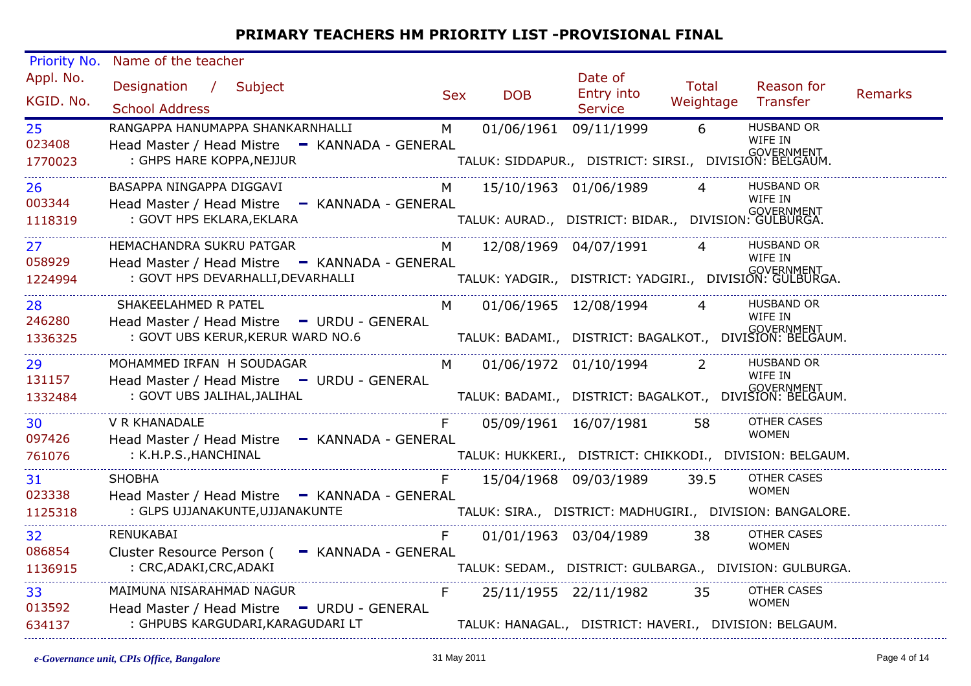| Priority No.           | Name of the teacher                                                        |                |                         |                                                                   |                             |                                                                           |                |
|------------------------|----------------------------------------------------------------------------|----------------|-------------------------|-------------------------------------------------------------------|-----------------------------|---------------------------------------------------------------------------|----------------|
| Appl. No.<br>KGID. No. | Designation / Subject<br><b>School Address</b>                             | <b>Sex</b>     | <b>DOB</b>              | Date of<br>Entry into<br>Service                                  | Total<br>Weightage Transfer | Reason for                                                                | <b>Remarks</b> |
| 25 <sub>2</sub>        | RANGAPPA HANUMAPPA SHANKARNHALLI                                           | M              |                         | 01/06/1961 09/11/1999                                             | $6\overline{6}$             | <b>HUSBAND OR</b>                                                         |                |
| 023408<br>1770023      | Head Master / Head Mistre - KANNADA - GENERAL<br>: GHPS HARE KOPPA, NEJJUR |                |                         | TALUK: SIDDAPUR., DISTRICT: SIRSI., DIVISION: BELGAUM.            |                             | WIFE IN                                                                   |                |
| 26                     | BASAPPA NINGAPPA DIGGAVI                                                   |                | M 15/10/1963 01/06/1989 |                                                                   |                             | HUSBAND OR                                                                |                |
| 003344                 | Head Master / Head Mistre - KANNADA - GENERAL                              |                |                         |                                                                   |                             | WIFE IN                                                                   |                |
| 1118319                | : GOVT HPS EKLARA, EKLARA                                                  |                |                         | -<br>TALUK: AURAD.,    DISTRICT:  BIDAR.,    DIVISION:  GULBURGA. |                             |                                                                           |                |
| 27 <sub>2</sub>        | HEMACHANDRA SUKRU PATGAR                                                   | M              |                         | 12/08/1969 04/07/1991                                             | $\overline{4}$              | <b>HUSBAND OR</b>                                                         |                |
| 058929                 | Head Master / Head Mistre - KANNADA - GENERAL                              |                |                         |                                                                   |                             | WIFE IN                                                                   |                |
| 1224994                | : GOVT HPS DEVARHALLI, DEVARHALLI                                          |                |                         |                                                                   |                             | GOVERNMENT<br>TALUK: YADGIR.,   DISTRICT: YADGIRI.,   DIVISION: GULBURGA. |                |
| 28                     | SHAKEELAHMED R PATEL                                                       | M              |                         | 01/06/1965 12/08/1994 4                                           |                             | <b>HUSBAND OR</b>                                                         |                |
| 246280                 | Head Master / Head Mistre - URDU - GENERAL                                 |                |                         |                                                                   |                             | WIFE IN                                                                   |                |
| 1336325                | : GOVT UBS KERUR, KERUR WARD NO.6                                          |                |                         |                                                                   |                             | COVERNMENT<br>TALUK: BADAMI., DISTRICT: BAGALKOT., DIVISION: BELGAUM.     |                |
| 29                     | MOHAMMED IRFAN H SOUDAGAR                                                  | M <sub>N</sub> |                         | 01/06/1972 01/10/1994 2                                           |                             | <b>HUSBAND OR</b>                                                         |                |
| 131157                 | Head Master / Head Mistre - URDU - GENERAL                                 |                |                         |                                                                   |                             | WIFE IN                                                                   |                |
| 1332484                | : GOVT UBS JALIHAL, JALIHAL                                                |                |                         |                                                                   |                             | TALUK: BADAMI.,   DISTRICT: BAGALKOT.,   DIVISION: BELGAUM.               |                |
| 30                     | <b>V R KHANADALE</b>                                                       | F              |                         | 05/09/1961 16/07/1981 58                                          |                             | <b>OTHER CASES</b>                                                        |                |
| 097426                 | Head Master / Head Mistre - KANNADA - GENERAL                              |                |                         |                                                                   |                             | <b>WOMEN</b>                                                              |                |
| 761076                 | : K.H.P.S., HANCHINAL                                                      |                |                         |                                                                   |                             | TALUK: HUKKERI., DISTRICT: CHIKKODI., DIVISION: BELGAUM.                  |                |
| 31                     | <b>SHOBHA</b>                                                              |                |                         | 15/04/1968 09/03/1989                                             | 39.5                        | OTHER CASES                                                               |                |
| 023338                 | Head Master / Head Mistre - KANNADA - GENERAL                              |                |                         |                                                                   |                             | <b>WOMEN</b>                                                              |                |
| 1125318                | : GLPS UJJANAKUNTE, UJJANAKUNTE                                            |                |                         |                                                                   |                             |                                                                           |                |
| 32                     | RENUKABAI                                                                  | F.             |                         | 01/01/1963 03/04/1989 38                                          |                             | OTHER CASES                                                               |                |
| 086854                 | Cluster Resource Person ( - KANNADA - GENERAL                              |                |                         |                                                                   |                             | <b>WOMEN</b>                                                              |                |
| 1136915                | : CRC,ADAKI,CRC,ADAKI                                                      |                |                         |                                                                   |                             | TALUK: SEDAM., DISTRICT: GULBARGA., DIVISION: GULBURGA.                   |                |
| 33                     | MAIMUNA NISARAHMAD NAGUR                                                   | $F -$          |                         | 25/11/1955 22/11/1982 35                                          |                             | <b>OTHER CASES</b>                                                        |                |
| 013592                 | Head Master / Head Mistre - URDU - GENERAL                                 |                |                         |                                                                   |                             | <b>WOMEN</b>                                                              |                |
| 634137                 | : GHPUBS KARGUDARI, KARAGUDARI LT                                          |                |                         | TALUK: HANAGAL., DISTRICT: HAVERI., DIVISION: BELGAUM.            |                             |                                                                           |                |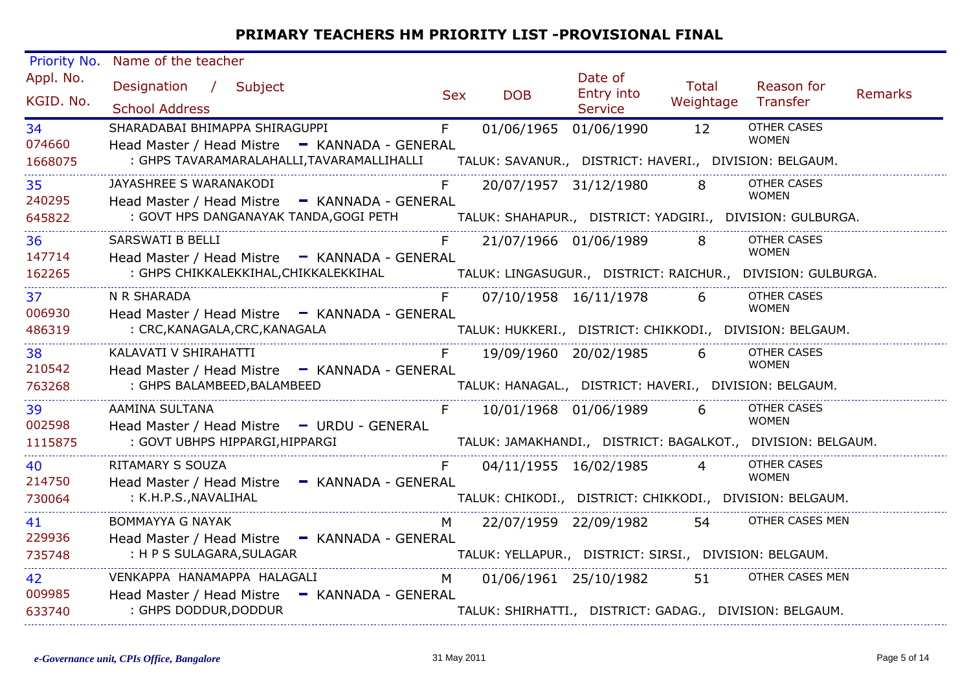| Priority No.            | Name of the teacher                                                                                                                                                          |            |                                                                                 |                                  |                    |                                                                                                   |                |
|-------------------------|------------------------------------------------------------------------------------------------------------------------------------------------------------------------------|------------|---------------------------------------------------------------------------------|----------------------------------|--------------------|---------------------------------------------------------------------------------------------------|----------------|
| Appl. No.<br>KGID. No.  | Designation / Subject<br><b>School Address</b>                                                                                                                               | <b>Sex</b> | <b>DOB</b>                                                                      | Date of<br>Entry into<br>Service | Total<br>Weightage | Reason for<br>Transfer                                                                            | <b>Remarks</b> |
| 34<br>074660<br>1668075 | SHARADABAI BHIMAPPA SHIRAGUPPI<br>Head Master / Head Mistre - KANNADA - GENERAL<br>: GHPS TAVARAMARALAHALLI, TAVARAMALLIHALLI                                                | F          | 01/06/1965 01/06/1990<br>TALUK: SAVANUR., DISTRICT: HAVERI., DIVISION: BELGAUM. |                                  | 12                 | <b>OTHER CASES</b><br><b>WOMEN</b>                                                                |                |
| 35<br>240295<br>645822  | JAYASHREE S WARANAKODI<br>Head Master / Head Mistre - KANNADA - GENERAL<br>: GOVT HPS DANGANAYAK TANDA, GOGI PETH                                                            |            |                                                                                 | 20/07/1957 31/12/1980            | $8 -$              | <b>OTHER CASES</b><br><b>WOMEN</b><br>TALUK: SHAHAPUR., DISTRICT: YADGIRI., DIVISION: GULBURGA.   |                |
| 36<br>147714<br>162265  | <b>SARSWATI B BELLI</b><br>Head Master / Head Mistre - KANNADA - GENERAL<br>: GHPS CHIKKALEKKIHAL,CHIKKALEKKIHAL TALUK: LINGASUGUR., DISTRICT: RAICHUR., DIVISION: GULBURGA. |            | 21/07/1966 01/06/1989                                                           |                                  | 8                  | <b>OTHER CASES</b><br><b>WOMEN</b>                                                                |                |
| 37<br>006930<br>486319  | N R SHARADA<br>Head Master / Head Mistre - KANNADA - GENERAL<br>: CRC, KANAGALA, CRC, KANAGALA                                                                               |            |                                                                                 | 07/10/1958 16/11/1978            | 6                  | <b>OTHER CASES</b><br><b>WOMEN</b>                                                                |                |
| 38<br>210542<br>763268  | KALAVATI V SHIRAHATTI<br>Head Master / Head Mistre - KANNADA - GENERAL<br>: GHPS BALAMBEED, BALAMBEED                                                                        |            | TALUK: HANAGAL., DISTRICT: HAVERI., DIVISION: BELGAUM.                          | 19/09/1960 20/02/1985            | 6                  | OTHER CASES<br><b>WOMEN</b>                                                                       |                |
| 39<br>002598<br>1115875 | AAMINA SULTANA<br>Head Master / Head Mistre - URDU - GENERAL<br>: GOVT UBHPS HIPPARGI,HIPPARGI                                                                               |            |                                                                                 | 10/01/1968 01/06/1989            | 6                  | <b>OTHER CASES</b><br><b>WOMEN</b><br>TALUK: JAMAKHANDI., DISTRICT: BAGALKOT., DIVISION: BELGAUM. |                |
| 40<br>214750<br>730064  | <b>RITAMARY S SOUZA</b><br>Head Master / Head Mistre - KANNADA - GENERAL<br>: K.H.P.S., NAVALIHAL                                                                            |            | 04/11/1955 16/02/1985                                                           |                                  | $\overline{4}$     | <b>OTHER CASES</b><br><b>WOMEN</b><br>TALUK: CHIKODI., DISTRICT: CHIKKODI., DIVISION: BELGAUM.    |                |
| 41<br>229936<br>735748  | <b>BOMMAYYA G NAYAK</b><br>Head Master / Head Mistre - KANNADA - GENERAL<br>: H P S SULAGARA, SULAGAR                                                                        | M          | 22/07/1959 22/09/1982<br>TALUK: YELLAPUR., DISTRICT: SIRSI., DIVISION: BELGAUM. |                                  | 54                 | OTHER CASES MEN                                                                                   |                |
| 42<br>009985<br>633740  | VENKAPPA HANAMAPPA HALAGALI<br>Head Master / Head Mistre - KANNADA - GENERAL<br>: GHPS DODDUR, DODDUR                                                                        | M          | TALUK: SHIRHATTI., DISTRICT: GADAG., DIVISION: BELGAUM.                         | 01/06/1961 25/10/1982            | 51                 | OTHER CASES MEN                                                                                   |                |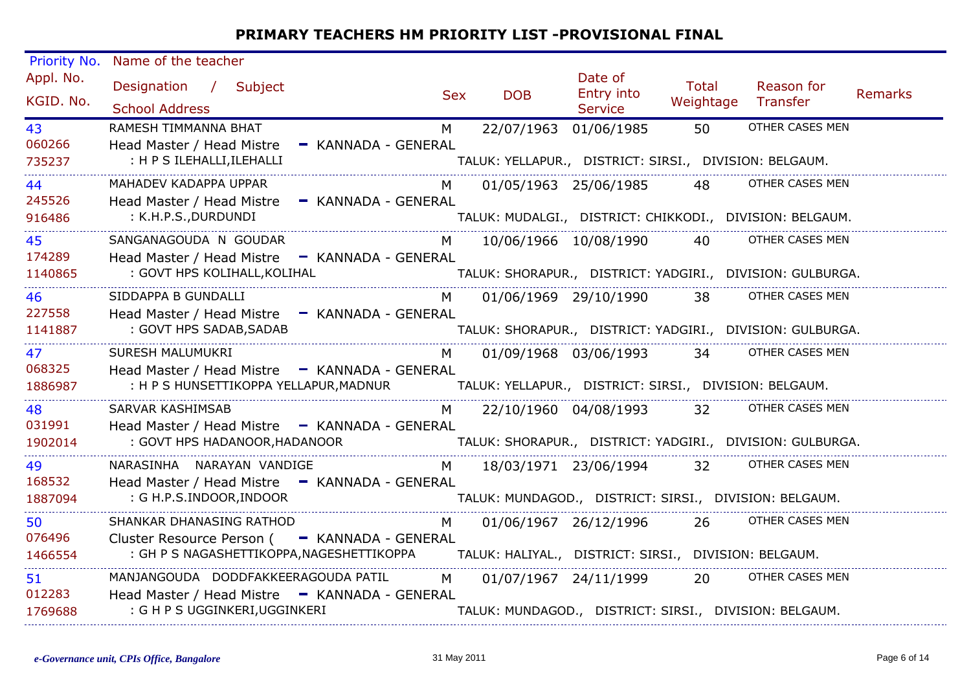| Priority No.            | Name of the teacher                                                                                                                                                          |            |                       |                                                        |                           |                                                                              |                |
|-------------------------|------------------------------------------------------------------------------------------------------------------------------------------------------------------------------|------------|-----------------------|--------------------------------------------------------|---------------------------|------------------------------------------------------------------------------|----------------|
| Appl. No.<br>KGID. No.  | Designation / Subject<br><b>School Address</b>                                                                                                                               | <b>Sex</b> | <b>DOB</b>            | Date of<br>Entry into<br><b>Service</b>                | <b>Total</b><br>Weightage | Reason for<br>Transfer                                                       | <b>Remarks</b> |
| 43<br>060266<br>735237  | RAMESH TIMMANNA BHAT<br>Head Master / Head Mistre - KANNADA - GENERAL<br>: H P S ILEHALLI, ILEHALLI                                                                          | M          | 22/07/1963 01/06/1985 | TALUK: YELLAPUR., DISTRICT: SIRSI., DIVISION: BELGAUM. | 50                        | OTHER CASES MEN                                                              |                |
| 44<br>245526<br>916486  | MAHADEV KADAPPA UPPAR<br>Head Master / Head Mistre - KANNADA - GENERAL<br>: K.H.P.S., DURDUNDI                                                                               | M          |                       | 01/05/1963 25/06/1985                                  | 48                        | OTHER CASES MEN<br>TALUK: MUDALGI., DISTRICT: CHIKKODI., DIVISION: BELGAUM.  |                |
| 45<br>174289<br>1140865 | SANGANAGOUDA N GOUDAR<br>Head Master / Head Mistre - KANNADA - GENERAL<br>: GOVT HPS KOLIHALL, KOLIHAL                                                                       | M          |                       | 10/06/1966 10/08/1990                                  | 40                        | OTHER CASES MEN<br>TALUK: SHORAPUR., DISTRICT: YADGIRI., DIVISION: GULBURGA. |                |
| 46<br>227558<br>1141887 | SIDDAPPA B GUNDALLI<br>Head Master / Head Mistre - KANNADA - GENERAL<br>: GOVT HPS SADAB, SADAB                                                                              | M          |                       | 01/06/1969 29/10/1990 38                               |                           | OTHER CASES MEN<br>TALUK: SHORAPUR., DISTRICT: YADGIRI., DIVISION: GULBURGA. |                |
| 47<br>068325<br>1886987 | SURESH MALUMUKRI<br>Head Master / Head Mistre - KANNADA - GENERAL<br>: H P S HUNSETTIKOPPA YELLAPUR,MADNUR                                                                   | M          | 01/09/1968 03/06/1993 | TALUK: YELLAPUR., DISTRICT: SIRSI., DIVISION: BELGAUM. | 34                        | OTHER CASES MEN                                                              |                |
| 48<br>031991<br>1902014 | SARVAR KASHIMSAB<br>Head Master / Head Mistre - KANNADA - GENERAL<br>: GOVT HPS HADANOOR, HADANOOR                                                                           | M          |                       | 22/10/1960 04/08/1993                                  | 32                        | OTHER CASES MEN<br>TALUK: SHORAPUR., DISTRICT: YADGIRI., DIVISION: GULBURGA. |                |
| 49<br>168532<br>1887094 | NARASINHA NARAYAN VANDIGE<br>Head Master / Head Mistre - KANNADA - GENERAL<br>: G H.P.S.INDOOR, INDOOR                                                                       | M          |                       | 18/03/1971 23/06/1994 32                               |                           | OTHER CASES MEN<br>TALUK: MUNDAGOD., DISTRICT: SIRSI., DIVISION: BELGAUM.    |                |
| 50<br>076496<br>1466554 | SHANKAR DHANASING RATHOD<br>Cluster Resource Person ( - KANNADA - GENERAL<br>: GH P S NAGASHETTIKOPPA, NAGESHETTIKOPPA TALUK: HALIYAL., DISTRICT: SIRSI., DIVISION: BELGAUM. | M          |                       | 01/06/1967 26/12/1996                                  | 26                        | OTHER CASES MEN                                                              |                |
| 51<br>012283<br>1769688 | MANJANGOUDA DODDFAKKEERAGOUDA PATIL<br>Head Master / Head Mistre - KANNADA - GENERAL<br>: G H P S UGGINKERI, UGGINKERI                                                       | M l        |                       | 01/07/1967 24/11/1999                                  | 20                        | OTHER CASES MEN<br>TALUK: MUNDAGOD., DISTRICT: SIRSI., DIVISION: BELGAUM.    |                |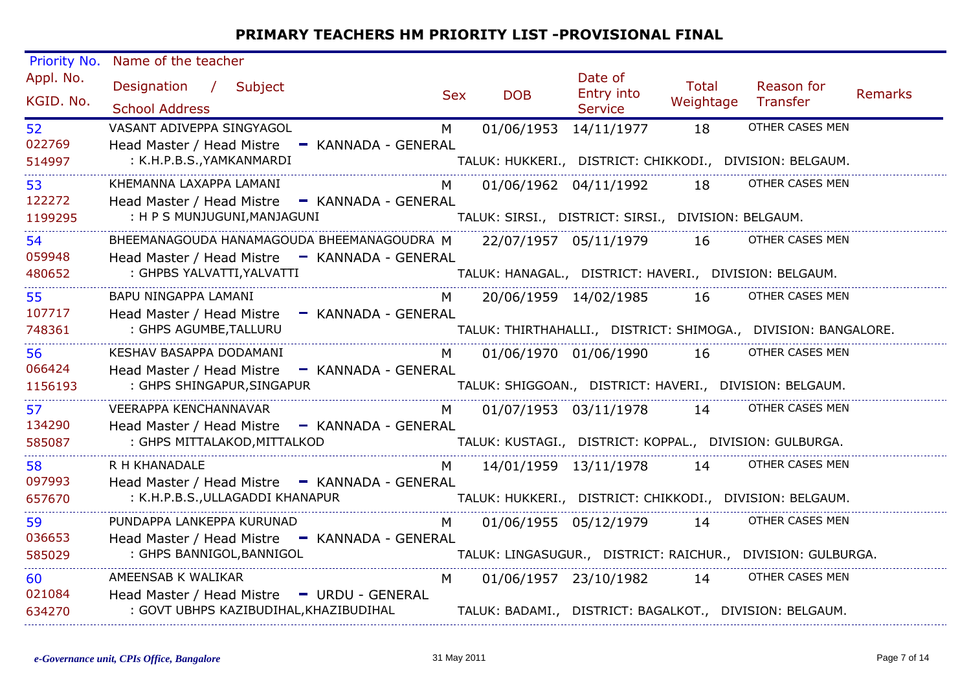| Priority No.            | Name of the teacher                                                                                                       |            |                                                                                 |                                         |                           |                                                                                   |                |
|-------------------------|---------------------------------------------------------------------------------------------------------------------------|------------|---------------------------------------------------------------------------------|-----------------------------------------|---------------------------|-----------------------------------------------------------------------------------|----------------|
| Appl. No.<br>KGID. No.  | Designation / Subject<br><b>School Address</b>                                                                            | <b>Sex</b> | <b>DOB</b>                                                                      | Date of<br>Entry into<br><b>Service</b> | <b>Total</b><br>Weightage | Reason for<br>Transfer                                                            | <b>Remarks</b> |
| 52<br>022769<br>514997  | VASANT ADIVEPPA SINGYAGOL<br>Head Master / Head Mistre - KANNADA - GENERAL<br>: K.H.P.B.S., YAMKANMARDI                   | M          | 01/06/1953 14/11/1977                                                           |                                         | 18                        | OTHER CASES MEN<br>TALUK: HUKKERI., DISTRICT: CHIKKODI., DIVISION: BELGAUM.       |                |
| 53<br>122272<br>1199295 | KHEMANNA LAXAPPA LAMANI<br>Head Master / Head Mistre - KANNADA - GENERAL<br>: H P S MUNJUGUNI, MANJAGUNI                  | M          | TALUK: SIRSI., DISTRICT: SIRSI., DIVISION: BELGAUM.                             | 01/06/1962 04/11/1992                   | 18                        | OTHER CASES MEN                                                                   |                |
| 54<br>059948<br>480652  | BHEEMANAGOUDA HANAMAGOUDA BHEEMANAGOUDRA M<br>Head Master / Head Mistre - KANNADA - GENERAL<br>: GHPBS YALVATTI, YALVATTI |            | 22/07/1957 05/11/1979<br>TALUK: HANAGAL., DISTRICT: HAVERI., DIVISION: BELGAUM. |                                         | 16                        | OTHER CASES MEN                                                                   |                |
| 55<br>107717<br>748361  | BAPU NINGAPPA LAMANI<br>Head Master / Head Mistre - KANNADA - GENERAL<br>: GHPS AGUMBE, TALLURU                           | M          |                                                                                 | 20/06/1959 14/02/1985                   | 16                        | OTHER CASES MEN<br>TALUK: THIRTHAHALLI., DISTRICT: SHIMOGA., DIVISION: BANGALORE. |                |
| 56<br>066424<br>1156193 | KESHAV BASAPPA DODAMANI<br>Head Master / Head Mistre - KANNADA - GENERAL<br>: GHPS SHINGAPUR, SINGAPUR                    | M          | 01/06/1970 01/06/1990                                                           |                                         | 16                        | OTHER CASES MEN<br>TALUK: SHIGGOAN., DISTRICT: HAVERI., DIVISION: BELGAUM.        |                |
| 57<br>134290<br>585087  | VEERAPPA KENCHANNAVAR<br>Head Master / Head Mistre - KANNADA - GENERAL<br>: GHPS MITTALAKOD, MITTALKOD                    | M          |                                                                                 | 01/07/1953 03/11/1978                   | 14                        | OTHER CASES MEN<br>TALUK: KUSTAGI., DISTRICT: KOPPAL., DIVISION: GULBURGA.        |                |
| 58<br>097993<br>657670  | R H KHANADALE<br>Head Master / Head Mistre - KANNADA - GENERAL<br>: K.H.P.B.S., ULLAGADDI KHANAPUR                        | M          |                                                                                 | 14/01/1959 13/11/1978 14                |                           | OTHER CASES MEN<br>TALUK: HUKKERI., DISTRICT: CHIKKODI., DIVISION: BELGAUM.       |                |
| 59<br>036653<br>585029  | PUNDAPPA LANKEPPA KURUNAD<br>Head Master / Head Mistre - KANNADA - GENERAL<br>: GHPS BANNIGOL, BANNIGOL                   | M          | 01/06/1955 05/12/1979                                                           |                                         | 14                        | OTHER CASES MEN<br>TALUK: LINGASUGUR., DISTRICT: RAICHUR., DIVISION: GULBURGA.    |                |
| 60<br>021084<br>634270  | AMEENSAB K WALIKAR<br>Head Master / Head Mistre - URDU - GENERAL<br>: GOVT UBHPS KAZIBUDIHAL, KHAZIBUDIHAL                | M          | 01/06/1957 23/10/1982                                                           |                                         | 14                        | OTHER CASES MEN<br>TALUK: BADAMI., DISTRICT: BAGALKOT., DIVISION: BELGAUM.        |                |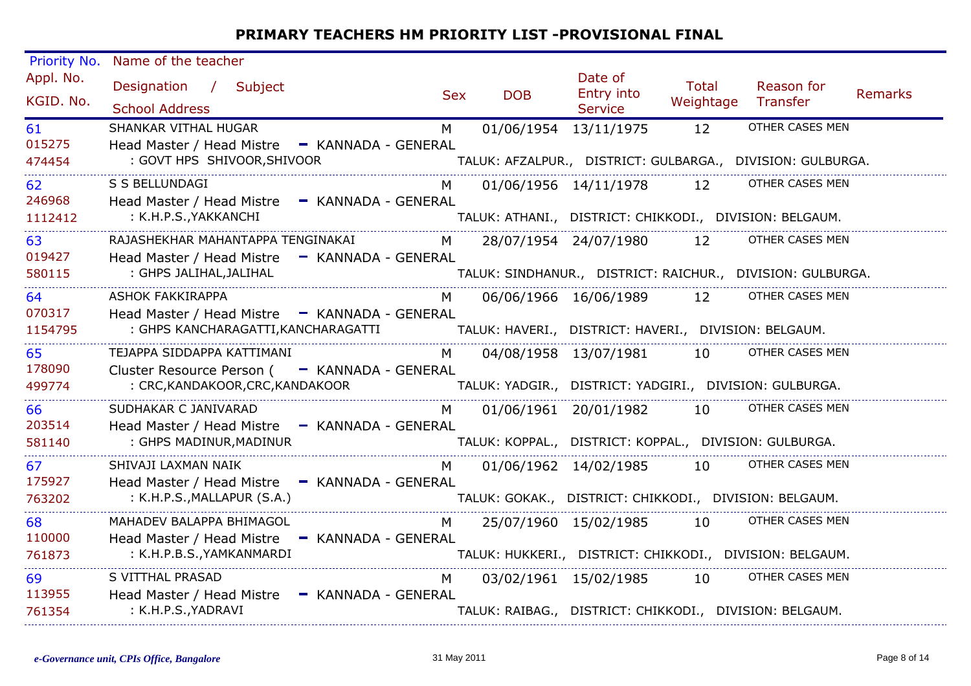| Priority No.            | Name of the teacher                                                                                             |            |                                                                                 |                                  |                           |                                                                               |                |
|-------------------------|-----------------------------------------------------------------------------------------------------------------|------------|---------------------------------------------------------------------------------|----------------------------------|---------------------------|-------------------------------------------------------------------------------|----------------|
| Appl. No.<br>KGID. No.  | Designation / Subject<br><b>School Address</b>                                                                  | <b>Sex</b> | <b>DOB</b>                                                                      | Date of<br>Entry into<br>Service | <b>Total</b><br>Weightage | Reason for<br>Transfer                                                        | <b>Remarks</b> |
| 61<br>015275<br>474454  | SHANKAR VITHAL HUGAR<br>Head Master / Head Mistre - KANNADA - GENERAL<br>: GOVT HPS SHIVOOR, SHIVOOR            | M          | 01/06/1954 13/11/1975                                                           |                                  | 12                        | OTHER CASES MEN<br>TALUK: AFZALPUR., DISTRICT: GULBARGA., DIVISION: GULBURGA. |                |
| 62<br>246968<br>1112412 | S S BELLUNDAGI<br>Head Master / Head Mistre - KANNADA - GENERAL<br>: K.H.P.S., YAKKANCHI                        |            | 01/06/1956 14/11/1978                                                           |                                  | 12                        | OTHER CASES MEN<br>TALUK: ATHANI., DISTRICT: CHIKKODI., DIVISION: BELGAUM.    |                |
| 63<br>019427<br>580115  | RAJASHEKHAR MAHANTAPPA TENGINAKAI<br>Head Master / Head Mistre - KANNADA - GENERAL<br>: GHPS JALIHAL, JALIHAL   | M          |                                                                                 | 28/07/1954 24/07/1980            | 12                        | OTHER CASES MEN<br>TALUK: SINDHANUR., DISTRICT: RAICHUR., DIVISION: GULBURGA. |                |
| 64<br>070317<br>1154795 | <b>ASHOK FAKKIRAPPA</b><br>Head Master / Head Mistre - KANNADA - GENERAL<br>: GHPS KANCHARAGATTI, KANCHARAGATTI | M          | TALUK: HAVERI., DISTRICT: HAVERI., DIVISION: BELGAUM.                           | 06/06/1966 16/06/1989            | 12                        | OTHER CASES MEN                                                               |                |
| 65<br>178090<br>499774  | TEJAPPA SIDDAPPA KATTIMANI<br>Cluster Resource Person ( - KANNADA - GENERAL<br>: CRC, KANDAKOOR, CRC, KANDAKOOR | M          | 04/08/1958 13/07/1981                                                           |                                  | 10                        | OTHER CASES MEN<br>TALUK: YADGIR., DISTRICT: YADGIRI., DIVISION: GULBURGA.    |                |
| 66<br>203514<br>581140  | SUDHAKAR C JANIVARAD<br>Head Master / Head Mistre - KANNADA - GENERAL<br>: GHPS MADINUR, MADINUR                | M          | 01/06/1961 20/01/1982<br>TALUK: KOPPAL., DISTRICT: KOPPAL., DIVISION: GULBURGA. |                                  | 10                        | OTHER CASES MEN                                                               |                |
| 67<br>175927<br>763202  | SHIVAJI LAXMAN NAIK<br>Head Master / Head Mistre - KANNADA - GENERAL<br>$:$ K.H.P.S., MALLAPUR $(S.A.)$         | M          | TALUK: GOKAK., DISTRICT: CHIKKODI., DIVISION: BELGAUM.                          | 01/06/1962 14/02/1985            | 10                        | OTHER CASES MEN                                                               |                |
| 68<br>110000<br>761873  | MAHADEV BALAPPA BHIMAGOL<br>Head Master / Head Mistre - KANNADA - GENERAL<br>: K.H.P.B.S., YAMKANMARDI          | M          |                                                                                 | 25/07/1960 15/02/1985            | 10                        | OTHER CASES MEN<br>TALUK: HUKKERI., DISTRICT: CHIKKODI., DIVISION: BELGAUM.   |                |
| 69<br>113955<br>761354  | S VITTHAL PRASAD<br>Head Master / Head Mistre<br>- KANNADA - GENERAL<br>: K.H.P.S., YADRAVI                     | M          |                                                                                 | 03/02/1961 15/02/1985            | 10                        | OTHER CASES MEN<br>TALUK: RAIBAG., DISTRICT: CHIKKODI., DIVISION: BELGAUM.    |                |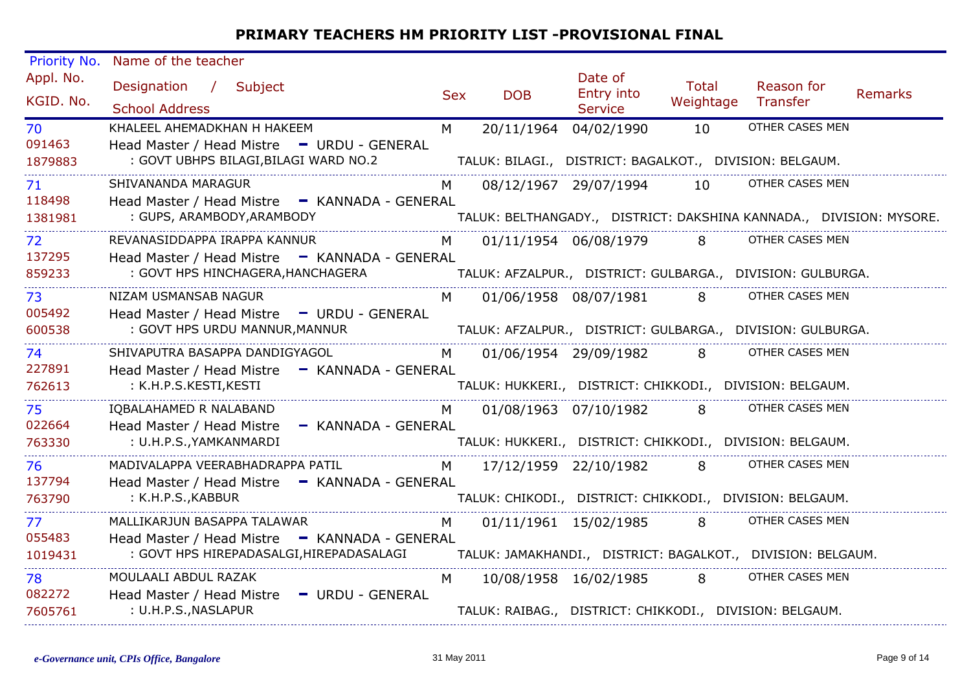| Priority No.            | Name of the teacher                                                                                                      |            |                                                                       |                                  |                    |                                                                                        |                |
|-------------------------|--------------------------------------------------------------------------------------------------------------------------|------------|-----------------------------------------------------------------------|----------------------------------|--------------------|----------------------------------------------------------------------------------------|----------------|
| Appl. No.<br>KGID. No.  | Designation / Subject<br><b>School Address</b>                                                                           | <b>Sex</b> | <b>DOB</b>                                                            | Date of<br>Entry into<br>Service | Total<br>Weightage | Reason for<br>Transfer                                                                 | <b>Remarks</b> |
| 70<br>091463<br>1879883 | KHALEEL AHEMADKHAN H HAKEEM<br>Head Master / Head Mistre - URDU - GENERAL<br>: GOVT UBHPS BILAGI, BILAGI WARD NO.2       | M          | 20/11/1964<br>TALUK: BILAGI., DISTRICT: BAGALKOT., DIVISION: BELGAUM. | 04/02/1990                       | 10                 | OTHER CASES MEN                                                                        |                |
| 71<br>118498<br>1381981 | SHIVANANDA MARAGUR<br>Head Master / Head Mistre - KANNADA - GENERAL<br>: GUPS, ARAMBODY, ARAMBODY                        |            |                                                                       | 08/12/1967 29/07/1994            | 10                 | OTHER CASES MEN<br>TALUK: BELTHANGADY., DISTRICT: DAKSHINA KANNADA., DIVISION: MYSORE. |                |
| 72<br>137295<br>859233  | REVANASIDDAPPA IRAPPA KANNUR<br>Head Master / Head Mistre - KANNADA - GENERAL<br>: GOVT HPS HINCHAGERA, HANCHAGERA       | M          |                                                                       | 01/11/1954 06/08/1979            | 8                  | OTHER CASES MEN<br>TALUK: AFZALPUR., DISTRICT: GULBARGA., DIVISION: GULBURGA.          |                |
| 73<br>005492<br>600538  | NIZAM USMANSAB NAGUR<br>Head Master / Head Mistre - URDU - GENERAL<br>: GOVT HPS URDU MANNUR, MANNUR                     | M          |                                                                       | 01/06/1958 08/07/1981            | 8                  | OTHER CASES MEN<br>TALUK: AFZALPUR., DISTRICT: GULBARGA., DIVISION: GULBURGA.          |                |
| 74<br>227891<br>762613  | SHIVAPUTRA BASAPPA DANDIGYAGOL<br>Head Master / Head Mistre - KANNADA - GENERAL<br>: K.H.P.S.KESTI,KESTI                 | M          | 01/06/1954 29/09/1982                                                 |                                  | 8                  | OTHER CASES MEN<br>TALUK: HUKKERI., DISTRICT: CHIKKODI., DIVISION: BELGAUM.            |                |
| 75<br>022664<br>763330  | IQBALAHAMED R NALABAND<br>Head Master / Head Mistre<br>- KANNADA - GENERAL<br>: U.H.P.S., YAMKANMARDI                    | M          |                                                                       | 01/08/1963 07/10/1982            | 8                  | OTHER CASES MEN<br>TALUK: HUKKERI., DISTRICT: CHIKKODI., DIVISION: BELGAUM.            |                |
| 76<br>137794<br>763790  | MADIVALAPPA VEERABHADRAPPA PATIL<br>Head Master / Head Mistre - KANNADA - GENERAL<br>: K.H.P.S., KABBUR                  | M          |                                                                       | 17/12/1959 22/10/1982            | 8                  | OTHER CASES MEN<br>TALUK: CHIKODI., DISTRICT: CHIKKODI., DIVISION: BELGAUM.            |                |
| 77<br>055483<br>1019431 | MALLIKARJUN BASAPPA TALAWAR<br>Head Master / Head Mistre - KANNADA - GENERAL<br>: GOVT HPS HIREPADASALGI, HIREPADASALAGI | M          |                                                                       | 01/11/1961 15/02/1985            | 8                  | OTHER CASES MEN<br>TALUK: JAMAKHANDI., DISTRICT: BAGALKOT., DIVISION: BELGAUM.         |                |
| 78<br>082272<br>7605761 | MOULAALI ABDUL RAZAK<br>Head Master / Head Mistre<br>- URDU - GENERAL<br>: U.H.P.S., NASLAPUR                            | M          | TALUK: RAIBAG., DISTRICT: CHIKKODI., DIVISION: BELGAUM.               | 10/08/1958 16/02/1985            | 8                  | OTHER CASES MEN                                                                        |                |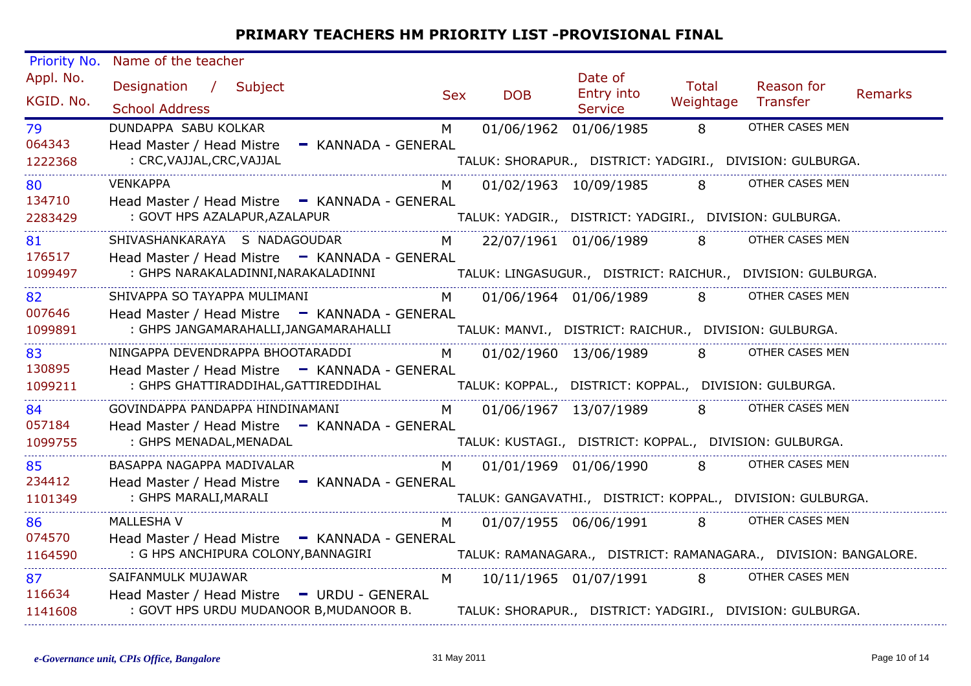| Priority No.            | Name of the teacher                                                                                                       |                |            |                                                                                       |                           |                                                                                                                |                |
|-------------------------|---------------------------------------------------------------------------------------------------------------------------|----------------|------------|---------------------------------------------------------------------------------------|---------------------------|----------------------------------------------------------------------------------------------------------------|----------------|
| Appl. No.<br>KGID. No.  | Designation / Subject<br><b>School Address</b>                                                                            | <b>Sex</b>     | <b>DOB</b> | Date of<br>Entry into<br><b>Service</b>                                               | <b>Total</b><br>Weightage | Reason for<br>Transfer                                                                                         | <b>Remarks</b> |
| 79<br>064343<br>1222368 | DUNDAPPA SABU KOLKAR<br>Head Master / Head Mistre - KANNADA - GENERAL<br>: CRC, VAJJAL, CRC, VAJJAL                       | M              |            | 01/06/1962 01/06/1985                                                                 | 8                         | OTHER CASES MEN<br>TALUK: SHORAPUR., DISTRICT: YADGIRI., DIVISION: GULBURGA.                                   |                |
| 80<br>134710<br>2283429 | <b>VENKAPPA</b><br>Head Master / Head Mistre - KANNADA - GENERAL<br>: GOVT HPS AZALAPUR, AZALAPUR                         |                |            | 01/02/1963 10/09/1985                                                                 | $8 -$                     | OTHER CASES MEN<br>TALUK: YADGIR., DISTRICT: YADGIRI., DIVISION: GULBURGA.                                     |                |
| 81<br>176517<br>1099497 | SHIVASHANKARAYA S NADAGOUDAR<br>Head Master / Head Mistre - KANNADA - GENERAL<br>: GHPS NARAKALADINNI, NARAKALADINNI      | M              |            | 22/07/1961 01/06/1989                                                                 | 8                         | OTHER CASES MEN<br>TALUK: LINGASUGUR.,   DISTRICT: RAICHUR.,   DIVISION: GULBURGA.                             |                |
| 82<br>007646<br>1099891 | SHIVAPPA SO TAYAPPA MULIMANI<br>Head Master / Head Mistre - KANNADA - GENERAL<br>: GHPS JANGAMARAHALLI, JANGAMARAHALLI    | M              |            | 01/06/1964 01/06/1989 8<br>TALUK: MANVI.,   DISTRICT: RAICHUR.,   DIVISION: GULBURGA. |                           | OTHER CASES MEN                                                                                                |                |
| 83<br>130895<br>1099211 | NINGAPPA DEVENDRAPPA BHOOTARADDI<br>Head Master / Head Mistre - KANNADA - GENERAL<br>: GHPS GHATTIRADDIHAL, GATTIREDDIHAL | M <sub>N</sub> |            | 01/02/1960 13/06/1989 8<br>TALUK: KOPPAL., DISTRICT: KOPPAL., DIVISION: GULBURGA.     |                           | OTHER CASES MEN                                                                                                |                |
| 84<br>057184<br>1099755 | GOVINDAPPA PANDAPPA HINDINAMANI<br>Head Master / Head Mistre - KANNADA - GENERAL<br>: GHPS MENADAL, MENADAL               | M <sub>N</sub> |            | 01/06/1967 13/07/1989                                                                 | 8                         | OTHER CASES MEN<br>TALUK: KUSTAGI., DISTRICT: KOPPAL., DIVISION: GULBURGA.                                     |                |
| 85<br>234412<br>1101349 | BASAPPA NAGAPPA MADIVALAR<br>Head Master / Head Mistre - KANNADA - GENERAL<br>: GHPS MARALI, MARALI                       | M.             |            | 01/01/1969 01/06/1990 8                                                               |                           | OTHER CASES MEN<br>TALUK: GANGAVATHI., DISTRICT: KOPPAL., DIVISION: GULBURGA.                                  |                |
| 86<br>074570<br>1164590 | MALLESHA V<br>Head Master / Head Mistre - KANNADA - GENERAL<br>: G HPS ANCHIPURA COLONY, BANNAGIRI                        | M              |            |                                                                                       |                           | 01/07/1955 06/06/1991 8 OTHER CASES MEN<br>TALUK: RAMANAGARA.,   DISTRICT: RAMANAGARA.,   DIVISION: BANGALORE. |                |
| 87<br>116634<br>1141608 | SAIFANMULK MUJAWAR<br>Head Master / Head Mistre - URDU - GENERAL<br>: GOVT HPS URDU MUDANOOR B, MUDANOOR B.               | M              |            | 10/11/1965 01/07/1991 8                                                               |                           | OTHER CASES MEN<br>TALUK: SHORAPUR., DISTRICT: YADGIRI., DIVISION: GULBURGA.                                   |                |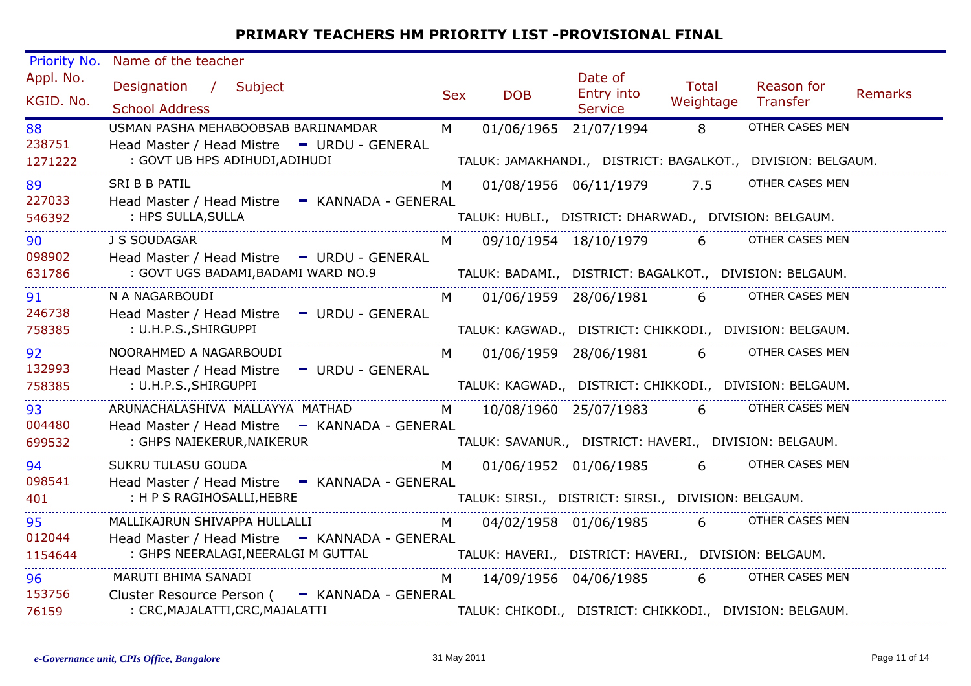| Priority No.            | Name of the teacher                                                                                                   |            |                                                                                   |                                         |                           |                                                                                |                |
|-------------------------|-----------------------------------------------------------------------------------------------------------------------|------------|-----------------------------------------------------------------------------------|-----------------------------------------|---------------------------|--------------------------------------------------------------------------------|----------------|
| Appl. No.<br>KGID. No.  | Designation / Subject<br><b>School Address</b>                                                                        | <b>Sex</b> | <b>DOB</b>                                                                        | Date of<br>Entry into<br><b>Service</b> | <b>Total</b><br>Weightage | Reason for<br>Transfer                                                         | <b>Remarks</b> |
| 88<br>238751<br>1271222 | USMAN PASHA MEHABOOBSAB BARIINAMDAR<br>Head Master / Head Mistre - URDU - GENERAL<br>: GOVT UB HPS ADIHUDI, ADIHUDI   | M          | 01/06/1965 21/07/1994                                                             |                                         | 8                         | OTHER CASES MEN<br>TALUK: JAMAKHANDI., DISTRICT: BAGALKOT., DIVISION: BELGAUM. |                |
| 89<br>227033<br>546392  | SRI B B PATIL<br>Head Master / Head Mistre - KANNADA - GENERAL<br>: HPS SULLA, SULLA                                  |            | TALUK: HUBLI., DISTRICT: DHARWAD., DIVISION: BELGAUM.                             | 01/08/1956 06/11/1979                   | 7.5                       | OTHER CASES MEN                                                                |                |
| 90<br>098902<br>631786  | J S SOUDAGAR<br>Head Master / Head Mistre - URDU - GENERAL<br>: GOVT UGS BADAMI, BADAMI WARD NO.9                     | M          |                                                                                   | 09/10/1954 18/10/1979                   | 6                         | OTHER CASES MEN<br>TALUK: BADAMI.,   DISTRICT: BAGALKOT.,   DIVISION: BELGAUM. |                |
| 91<br>246738<br>758385  | N A NAGARBOUDI<br>Head Master / Head Mistre - URDU - GENERAL<br>: U.H.P.S., SHIRGUPPI                                 | M          |                                                                                   | 01/06/1959 28/06/1981 6                 |                           | OTHER CASES MEN<br>TALUK: KAGWAD., DISTRICT: CHIKKODI., DIVISION: BELGAUM.     |                |
| 92<br>132993<br>758385  | NOORAHMED A NAGARBOUDI<br>Head Master / Head Mistre - URDU - GENERAL<br>: U.H.P.S., SHIRGUPPI                         | M          |                                                                                   | 01/06/1959 28/06/1981 6                 |                           | OTHER CASES MEN<br>TALUK: KAGWAD., DISTRICT: CHIKKODI., DIVISION: BELGAUM.     |                |
| 93<br>004480<br>699532  | ARUNACHALASHIVA MALLAYYA MATHAD<br>Head Master / Head Mistre - KANNADA - GENERAL<br>: GHPS NAIEKERUR, NAIKERUR        |            | M 10/08/1960 25/07/1983<br>TALUK: SAVANUR., DISTRICT: HAVERI., DIVISION: BELGAUM. |                                         | $6 \quad \sigma$          | OTHER CASES MEN                                                                |                |
| 94<br>098541<br>401     | SUKRU TULASU GOUDA<br>Head Master / Head Mistre - KANNADA - GENERAL<br>: H P S RAGIHOSALLI, HEBRE                     | M.         | TALUK: SIRSI., DISTRICT: SIRSI., DIVISION: BELGAUM.                               | 01/06/1952 01/06/1985                   | $6 \quad$                 | OTHER CASES MEN                                                                |                |
| 95<br>012044<br>1154644 | MALLIKAJRUN SHIVAPPA HULLALLI<br>Head Master / Head Mistre - KANNADA - GENERAL<br>: GHPS NEERALAGI, NEERALGI M GUTTAL | M          | TALUK: HAVERI., DISTRICT: HAVERI., DIVISION: BELGAUM.                             | 04/02/1958 01/06/1985                   | $6 \quad$                 | OTHER CASES MEN                                                                |                |
| 96<br>153756<br>76159   | MARUTI BHIMA SANADI<br>Cluster Resource Person ( - KANNADA - GENERAL<br>: CRC, MAJALATTI, CRC, MAJALATTI              | M          |                                                                                   | 14/09/1956 04/06/1985                   | $6 \quad \blacksquare$    | OTHER CASES MEN<br>TALUK: CHIKODI., DISTRICT: CHIKKODI., DIVISION: BELGAUM.    |                |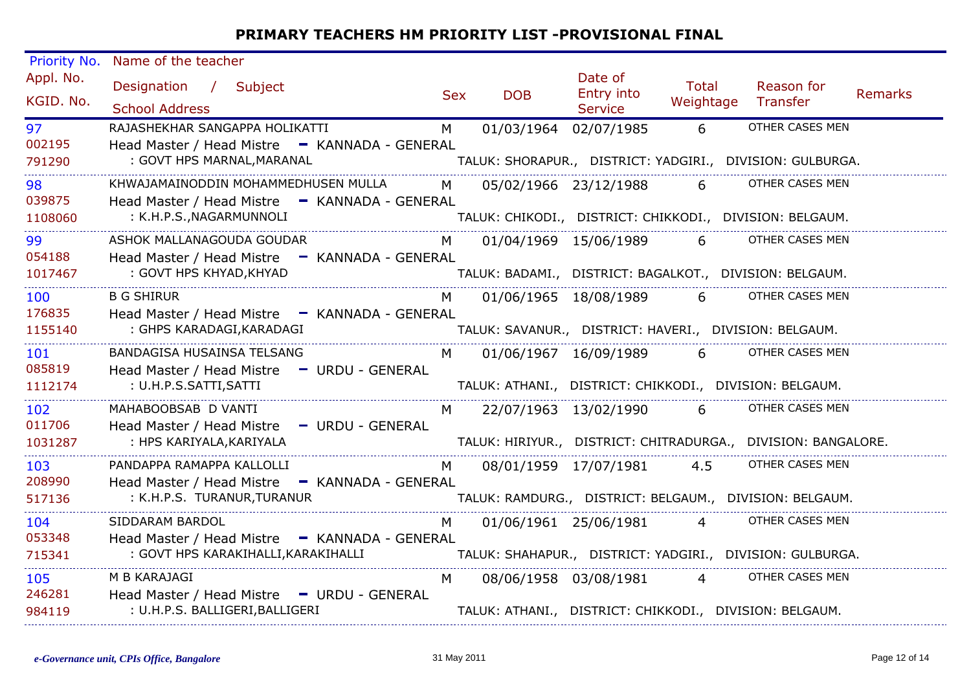| Priority No.           | Name of the teacher                                                                  |            |                       |                                                        |                           |                                                               |                |
|------------------------|--------------------------------------------------------------------------------------|------------|-----------------------|--------------------------------------------------------|---------------------------|---------------------------------------------------------------|----------------|
| Appl. No.<br>KGID. No. | Designation / Subject<br><b>School Address</b>                                       | <b>Sex</b> | <b>DOB</b>            | Date of<br>Entry into<br><b>Service</b>                | <b>Total</b><br>Weightage | Reason for<br>Transfer                                        | <b>Remarks</b> |
| 97                     | RAJASHEKHAR SANGAPPA HOLIKATTI                                                       | M          | 01/03/1964 02/07/1985 |                                                        | 6                         | OTHER CASES MEN                                               |                |
| 002195<br>791290       | Head Master / Head Mistre - KANNADA - GENERAL<br>: GOVT HPS MARNAL, MARANAL          |            |                       |                                                        |                           | TALUK: SHORAPUR., DISTRICT: YADGIRI., DIVISION: GULBURGA.     |                |
| 98                     | KHWAJAMAINODDIN MOHAMMEDHUSEN MULLA                                                  | M          |                       | 05/02/1966 23/12/1988                                  | $6 \quad$                 | OTHER CASES MEN                                               |                |
| 039875<br>1108060      | Head Master / Head Mistre - KANNADA - GENERAL<br>: K.H.P.S., NAGARMUNNOLI            |            |                       |                                                        |                           | TALUK: CHIKODI., DISTRICT: CHIKKODI., DIVISION: BELGAUM.      |                |
| 99                     | ASHOK MALLANAGOUDA GOUDAR                                                            | M          |                       | 01/04/1969 15/06/1989                                  | 6                         | OTHER CASES MEN                                               |                |
| 054188<br>1017467      | Head Master / Head Mistre - KANNADA - GENERAL<br>: GOVT HPS KHYAD, KHYAD             |            |                       |                                                        |                           | TALUK: BADAMI., DISTRICT: BAGALKOT., DIVISION: BELGAUM.       |                |
| 100                    | <b>B G SHIRUR</b>                                                                    | M          |                       | 01/06/1965 18/08/1989 6                                |                           | <b>OTHER CASES MEN</b>                                        |                |
| 176835<br>1155140      | Head Master / Head Mistre - KANNADA - GENERAL<br>: GHPS KARADAGI, KARADAGI           |            |                       | TALUK: SAVANUR., DISTRICT: HAVERI., DIVISION: BELGAUM. |                           |                                                               |                |
| 101                    | BANDAGISA HUSAINSA TELSANG                                                           | M          |                       | 01/06/1967 16/09/1989                                  | $6 \qquad$                | OTHER CASES MEN                                               |                |
| 085819<br>1112174      | Head Master / Head Mistre - URDU - GENERAL<br>: U.H.P.S.SATTI,SATTI                  |            |                       |                                                        |                           | TALUK: ATHANI., DISTRICT: CHIKKODI., DIVISION: BELGAUM.       |                |
| 102<br>011706          | MAHABOOBSAB D VANTI<br>Head Master / Head Mistre - URDU - GENERAL                    | M.         | 22/07/1963 13/02/1990 |                                                        | $6 \quad$                 | OTHER CASES MEN                                               |                |
| 1031287                | : HPS KARIYALA, KARIYALA                                                             |            |                       |                                                        |                           | TALUK: HIRIYUR., DISTRICT: CHITRADURGA., DIVISION: BANGALORE. |                |
| 103                    | PANDAPPA RAMAPPA KALLOLLI                                                            | M.         |                       | 08/01/1959 17/07/1981                                  | 4.5                       | OTHER CASES MEN                                               |                |
| 208990<br>517136       | Head Master / Head Mistre - KANNADA - GENERAL<br>: K.H.P.S. TURANUR, TURANUR         |            |                       |                                                        |                           | TALUK: RAMDURG., DISTRICT: BELGAUM., DIVISION: BELGAUM.       |                |
| 104                    | SIDDARAM BARDOL                                                                      | M          |                       | 01/06/1961 25/06/1981                                  | $\overline{4}$            | OTHER CASES MEN                                               |                |
| 053348<br>715341       | Head Master / Head Mistre - KANNADA - GENERAL<br>: GOVT HPS KARAKIHALLI, KARAKIHALLI |            |                       |                                                        |                           | TALUK: SHAHAPUR., DISTRICT: YADGIRI., DIVISION: GULBURGA.     |                |
| 105<br>246281          | M B KARAJAGI<br>Head Master / Head Mistre - URDU - GENERAL                           | M          |                       | 08/06/1958 03/08/1981                                  | $\overline{4}$            | OTHER CASES MEN                                               |                |
| 984119                 | : U.H.P.S. BALLIGERI, BALLIGERI                                                      |            |                       |                                                        |                           | TALUK: ATHANI., DISTRICT: CHIKKODI., DIVISION: BELGAUM.       |                |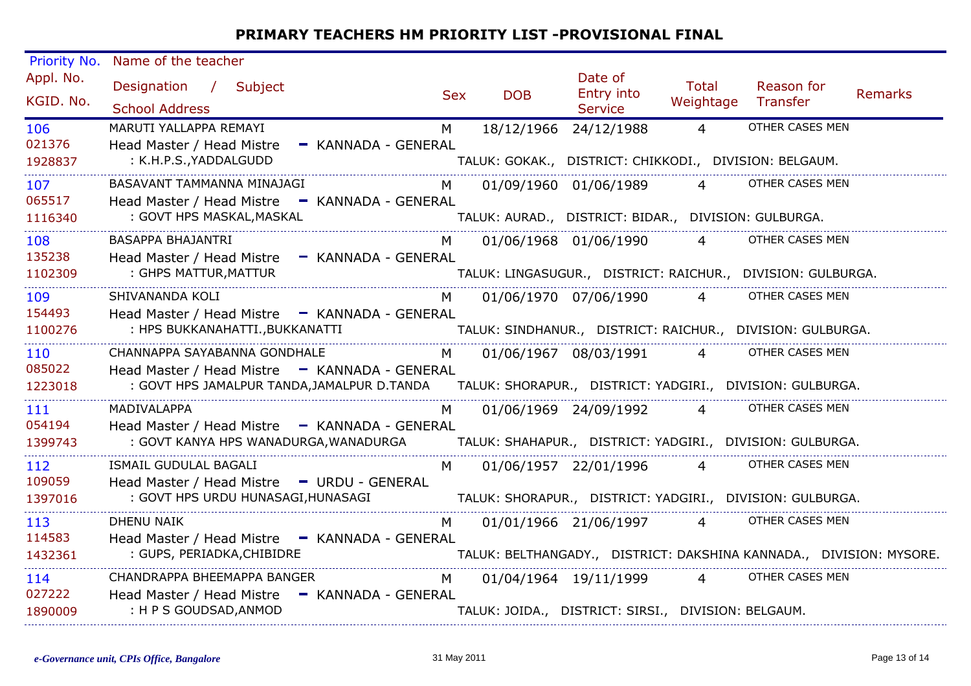| Priority No.           | Name of the teacher                                                              |            |            |                                                        |                               |                                                                     |                |  |  |
|------------------------|----------------------------------------------------------------------------------|------------|------------|--------------------------------------------------------|-------------------------------|---------------------------------------------------------------------|----------------|--|--|
| Appl. No.<br>KGID. No. | Designation / Subject<br><b>School Address</b>                                   | <b>Sex</b> | <b>DOB</b> | Date of<br>Entry into<br>Service                       | <b>Total</b><br>Weightage     | Reason for<br>Transfer                                              | <b>Remarks</b> |  |  |
| 106                    | MARUTI YALLAPPA REMAYI                                                           | M          |            | 18/12/1966 24/12/1988                                  | $\overline{4}$                | OTHER CASES MEN                                                     |                |  |  |
| 021376<br>1928837      | Head Master / Head Mistre<br>- KANNADA - GENERAL<br>: K.H.P.S., YADDALGUDD       |            |            | TALUK: GOKAK., DISTRICT: CHIKKODI., DIVISION: BELGAUM. |                               |                                                                     |                |  |  |
| 107                    | BASAVANT TAMMANNA MINAJAGI                                                       | M          |            | 01/09/1960 01/06/1989                                  | $\overline{4}$ $\overline{1}$ | OTHER CASES MEN                                                     |                |  |  |
| 065517<br>1116340      | Head Master / Head Mistre - KANNADA - GENERAL<br>: GOVT HPS MASKAL, MASKAL       |            |            | TALUK: AURAD., DISTRICT: BIDAR., DIVISION: GULBURGA.   |                               |                                                                     |                |  |  |
| 108                    | <b>BASAPPA BHAJANTRI</b>                                                         | M          |            | 01/06/1968 01/06/1990                                  | $\overline{4}$                | OTHER CASES MEN                                                     |                |  |  |
| 135238<br>1102309      | Head Master / Head Mistre - KANNADA - GENERAL<br>: GHPS MATTUR, MATTUR           |            |            |                                                        |                               | TALUK: LINGASUGUR., DISTRICT: RAICHUR., DIVISION: GULBURGA.         |                |  |  |
| 109                    | SHIVANANDA KOLI                                                                  | M          |            | 01/06/1970 07/06/1990                                  | $\overline{4}$                | OTHER CASES MEN                                                     |                |  |  |
| 154493<br>1100276      | Head Master / Head Mistre - KANNADA - GENERAL<br>: HPS BUKKANAHATTI., BUKKANATTI |            |            |                                                        |                               | TALUK: SINDHANUR., DISTRICT: RAICHUR., DIVISION: GULBURGA.          |                |  |  |
| 110<br>085022          | CHANNAPPA SAYABANNA GONDHALE<br>Head Master / Head Mistre - KANNADA - GENERAL    | M          |            | 01/06/1967 08/03/1991                                  | $\overline{4}$                | OTHER CASES MEN                                                     |                |  |  |
| 1223018                | : GOVT HPS JAMALPUR TANDA, JAMALPUR D.TANDA                                      |            |            |                                                        |                               | TALUK: SHORAPUR., DISTRICT: YADGIRI., DIVISION: GULBURGA.           |                |  |  |
| 111<br>054194          | MADIVALAPPA<br>Head Master / Head Mistre - KANNADA - GENERAL                     | M.         |            | 01/06/1969 24/09/1992                                  | $\overline{4}$                | OTHER CASES MEN                                                     |                |  |  |
| 1399743                | : GOVT KANYA HPS WANADURGA, WANADURGA                                            |            |            |                                                        |                               | TALUK: SHAHAPUR., DISTRICT: YADGIRI., DIVISION: GULBURGA.           |                |  |  |
| 112<br>109059          | ISMAIL GUDULAL BAGALI<br>Head Master / Head Mistre - URDU - GENERAL              | M.         |            | 01/06/1957 22/01/1996                                  | $\overline{4}$                | OTHER CASES MEN                                                     |                |  |  |
| 1397016                | : GOVT HPS URDU HUNASAGI, HUNASAGI                                               |            |            |                                                        |                               | TALUK: SHORAPUR., DISTRICT: YADGIRI., DIVISION: GULBURGA.           |                |  |  |
| 113                    | <b>DHENU NAIK</b>                                                                | M          |            | 01/01/1966 21/06/1997                                  | $\overline{4}$                | OTHER CASES MEN                                                     |                |  |  |
| 114583<br>1432361      | Head Master / Head Mistre - KANNADA - GENERAL<br>: GUPS, PERIADKA, CHIBIDRE      |            |            |                                                        |                               | TALUK: BELTHANGADY., DISTRICT: DAKSHINA KANNADA., DIVISION: MYSORE. |                |  |  |
| 114<br>027222          | CHANDRAPPA BHEEMAPPA BANGER<br>Head Master / Head Mistre - KANNADA - GENERAL     | M          |            | 01/04/1964 19/11/1999                                  | $\overline{4}$                | OTHER CASES MEN                                                     |                |  |  |
| 1890009                | : H P S GOUDSAD, ANMOD                                                           |            |            | TALUK: JOIDA., DISTRICT: SIRSI., DIVISION: BELGAUM.    |                               |                                                                     |                |  |  |